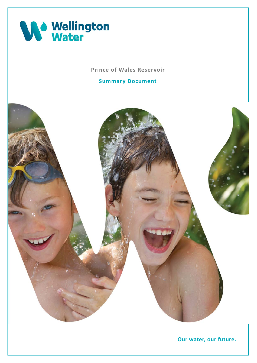

 **Prince of Wales Reservoir** 

 **Summary Document** 

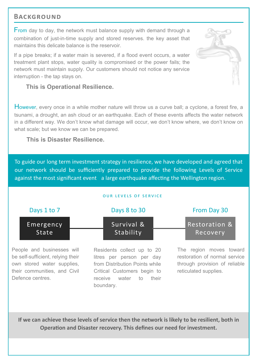## **BACKGROUND**

From day to day, the network must balance supply with demand through a combination of just-in-time supply and stored reserves. the key asset that maintains this delicate balance is the reservoir.

 If a pipe breaks; if a water main is severed, if a flood event occurs, a water treatment plant stops, water quality is compromised or the power fails; the network must maintain supply. Our customers should not notice any service interruption - the tap stays on.

## **This is Operational Resilience.**

However, every once in a while mother nature will throw us a curve ball; a cyclone, a forest fire, a tsunami, a drought, an ash cloud or an earthquake. Each of these events affects the water network in a different way. We don't know what damage will occur, we don't know where, we don't know on what scale; but we know we can be prepared.

### **This is Disaster Resilience.**

 To guide our long term investment strategy in resilience, we have developed and agreed that our network should be sufficiently prepared to provide the following Levels of Service against the most significant event a large earthquake affecting the Wellington region.

#### OUR LEVELS OF SERVICE



 People and businesses will be self-sufficient, relying their own stored water supplies, their communities, and Civil Defence centres.

 Residents collect up to 20 litres per person per day Critical Customers begin to receive water to their from Distribution Points while boundary.

 The region moves toward restoration of normal service through provision of reliable reticulated supplies.

 **If we can achieve these levels of service then the network is likely to be resilient, both in Operation and Disaster recovery. This defines our need for investment.** 

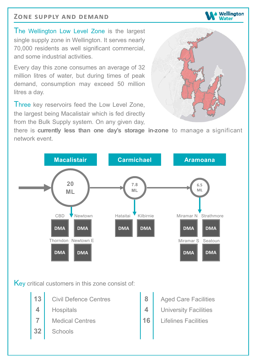# **ZONE SUPPLY AND DEMAND**

 The Wellington Low Level Zone is the largest single supply zone in Wellington. It serves nearly 70,000 residents as well significant commercial, and some industrial activities.

 Every day this zone consumes an average of 32 million litres of water, but during times of peak demand, consumption may exceed 50 million litres a day.

Three key reservoirs feed the Low Level Zone, the largest being Macalistair which is fed directly from the Bulk Supply system. On any given day,

 there is **currently less than one day's storage in-zone** to manage a significant network event.





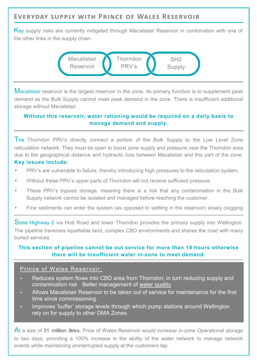# **EVERYDAY SUPPLY WITH PRINCE OF WALES RESERVOIR**

Key supply risks are currently mitigated through Macalistair Reservoir in combination with one of the other links in the supply chain.



Macalistair reservoir is the largest reservoir in the zone. Its primary function is to supplement peak demand as the Bulk Supply cannot meet peak demand in the zone. There is insufficient additional storage without Macalistair.

### **Without this reservoir, water rationing would be required on a daily basis to manage demand and supply.**

The Thorndon PRV's directly connect a portion of the Bulk Supply to the Low Level Zone reticulation network. They must be open to boost zone supply and pressure near the Thorndon area due to the geographical distance and hydraulic loss between Macalistair and this part of the zone.  **Key issues include:** 

- PRV's are vulnerable to failure, thereby introducing high pressures to the reticulation system.
- Without these PRV's upper parts of Thorndon will not receive sufficient pressure.
- These PRV's bypass storage, meaning there is a risk that any contamination in the Bulk Supply network cannot be isolated and managed before reaching the customer.
- Fine sediments can enter the system (as opposed to settling in the reservoir) slowly clogging

State Highway 2 via Hutt Road and lower Thorndon provides the primary supply into Wellington. The pipeline traverses liquefiable land, complex CBD environments and shares the road with many buried services.

### **This section of pipeline cannot be out service for more than 18 hours otherwise there will be insufficient water in-zone to meet demand.**

#### Prince of Wales Reservoir:

- • Reduces system flows into CBD area from Thorndon; in turn reducing supply and contamination risk Better management of water quality.
- • Allows Macalistair Reservoir to be taken out of service for maintenance for the first time since commissioning.
- • Improves 'buffer' storage levels through which pump stations around Wellington rely on for supply to other DMA Zones.

 At a size of **31 million litres**, Price of Wales Reservoir would increase in-zone Operational storage to two days, providing a 100% increase in the ability of the water network to manage network events while maintaining uninterrupted supply at the customers tap.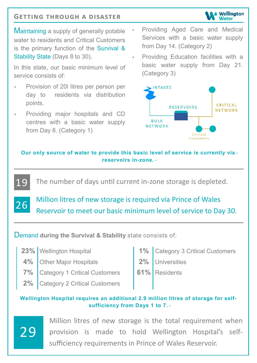# **GETTING THROUGH A DISASTER**

Maintaining a supply of generally potable • water to residents and Critical Customers is the primary function of the Survival & Stability State (Days 8 to 30).

 In this state, our basic minimum level of service consists of:

- • Provision of 20l litres per person per day to residents via distribution points.
- • Providing major hospitals and CD centres with a basic water supply from Day 8. (Category 1)

 Providing Aged Care and Medical Services with a basic water supply from Day 14. (Category 2)

Wellington Vater

 Providing Education facilities with a basic water supply from Day 21. (Category 3)



 **Our only source of water to provide this basic level of service is currently via reservoirs in-zone.**

The number of days until current in-zone storage is depleted.

 Million litres of new storage is required via Prince of Wales Reservoir to meet our basic minimum level of service to Day 30.

 Demand **during the Survival & Stability** state consists of:

| 23% Wellington Hospital                 | 1% Category 3 Critical Customers |
|-----------------------------------------|----------------------------------|
| 4% Other Major Hospitals                | 2% Universities                  |
| <b>7%</b> Category 1 Critical Customers | <b>61%</b> Residents             |
| 2% Category 2 Critical Customers        |                                  |

### **Wellington Hospital requires an additional 2.9 million litres of storage for self- sufficiency from Days 1 to 7.**

29

19

26

 Million litres of new storage is the total requirement when provision is made to hold Wellington Hospital's self-sufficiency requirements in Prince of Wales Reservoir.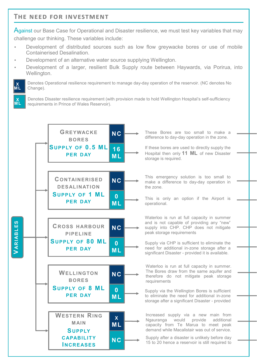# **THE NEED FOR INVESTMENT**

**X** 

**X** 

Against our Base Case for Operational and Disaster resilience, we must test key variables that may challenge our thinking. These variables include:

- Development of distributed sources such as low flow greywacke bores or use of mobile Containerised Desalination.
- Development of an alternative water source supplying Wellington.
- Development of a larger, resilient Bulk Supply route between Haywards, via Porirua, into Wellington.

 Denotes Operational resilience requirement to manage day-day operation of the reservoir. (NC denotes No **M L**  Change).

 Denotes Disaster resilience requirement (with provision made to hold Wellington Hospital's self-sufficiency requirements in Prince of Wales Reservoir). **M L** 



 These Bores are too small to make a difference to day-day operation in the zone.

 If these bores are used to directly supply the Hospital then only **11 ML** of new Disaster storage is required.

 This emergency solution is too small to make a difference to day-day operation in the zone.

 This is only an option if the Airport is operational.

 Waterloo is run at full capacity in summer and is not capable of providing any "new" supply into CHP. CHP does not mitigate peak storage requirements

 Supply via CHP is sufficient to eliminate the need for additional in-zone storage after a significant Disaster - provided it is available.

 Waterloo is run at full capacity in summer. The Bores draw from the same aquifer and therefore do not mitigate peak storage requirements

 Supply via the Wellington Bores is sufficient to eliminate the need for additional in-zone storage after a significant Disaster - provided

 Increased supply via a new main from Ngauranga would provide additional capacity from Te Marua to meet peak demand while Macalistair was out of service.

 Supply after a disaster is unlikely before day 15 to 20 hence a reservoir is still required to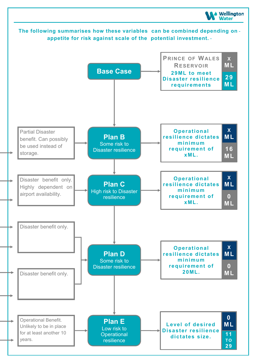